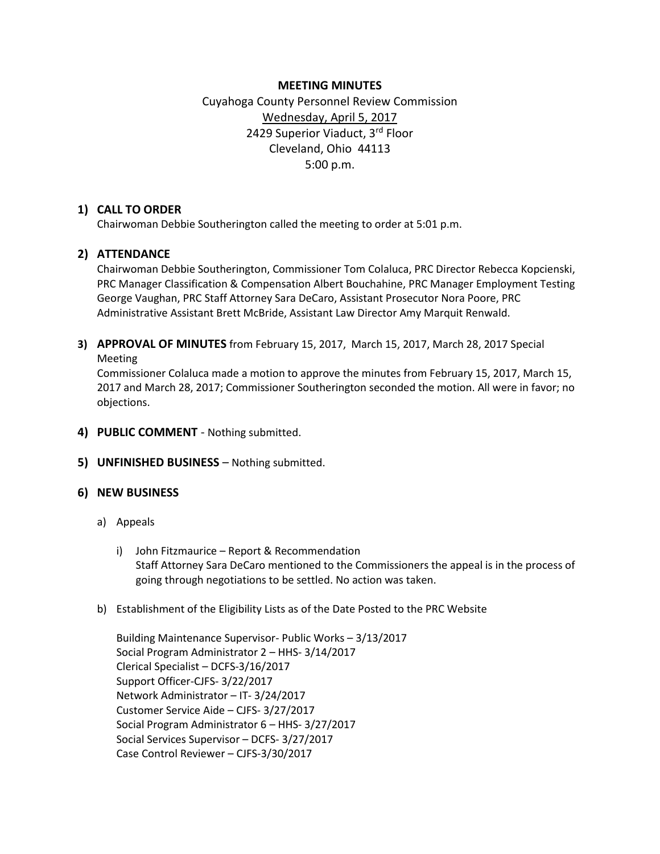# **MEETING MINUTES**

# Cuyahoga County Personnel Review Commission Wednesday, April 5, 2017 2429 Superior Viaduct, 3rd Floor Cleveland, Ohio 44113 5:00 p.m.

# **1) CALL TO ORDER**

Chairwoman Debbie Southerington called the meeting to order at 5:01 p.m.

# **2) ATTENDANCE**

Chairwoman Debbie Southerington, Commissioner Tom Colaluca, PRC Director Rebecca Kopcienski, PRC Manager Classification & Compensation Albert Bouchahine, PRC Manager Employment Testing George Vaughan, PRC Staff Attorney Sara DeCaro, Assistant Prosecutor Nora Poore, PRC Administrative Assistant Brett McBride, Assistant Law Director Amy Marquit Renwald.

**3) APPROVAL OF MINUTES** from February 15, 2017, March 15, 2017, March 28, 2017 Special Meeting

Commissioner Colaluca made a motion to approve the minutes from February 15, 2017, March 15, 2017 and March 28, 2017; Commissioner Southerington seconded the motion. All were in favor; no objections.

- **4) PUBLIC COMMENT** Nothing submitted.
- **5) UNFINISHED BUSINESS** Nothing submitted.

# **6) NEW BUSINESS**

- a) Appeals
	- i) John Fitzmaurice Report & Recommendation Staff Attorney Sara DeCaro mentioned to the Commissioners the appeal is in the process of going through negotiations to be settled. No action was taken.
- b) Establishment of the Eligibility Lists as of the Date Posted to the PRC Website

Building Maintenance Supervisor- Public Works – 3/13/2017 Social Program Administrator 2 – HHS- 3/14/2017 Clerical Specialist – DCFS-3/16/2017 Support Officer-CJFS- 3/22/2017 Network Administrator – IT- 3/24/2017 Customer Service Aide – CJFS- 3/27/2017 Social Program Administrator 6 – HHS- 3/27/2017 Social Services Supervisor – DCFS- 3/27/2017 Case Control Reviewer – CJFS-3/30/2017